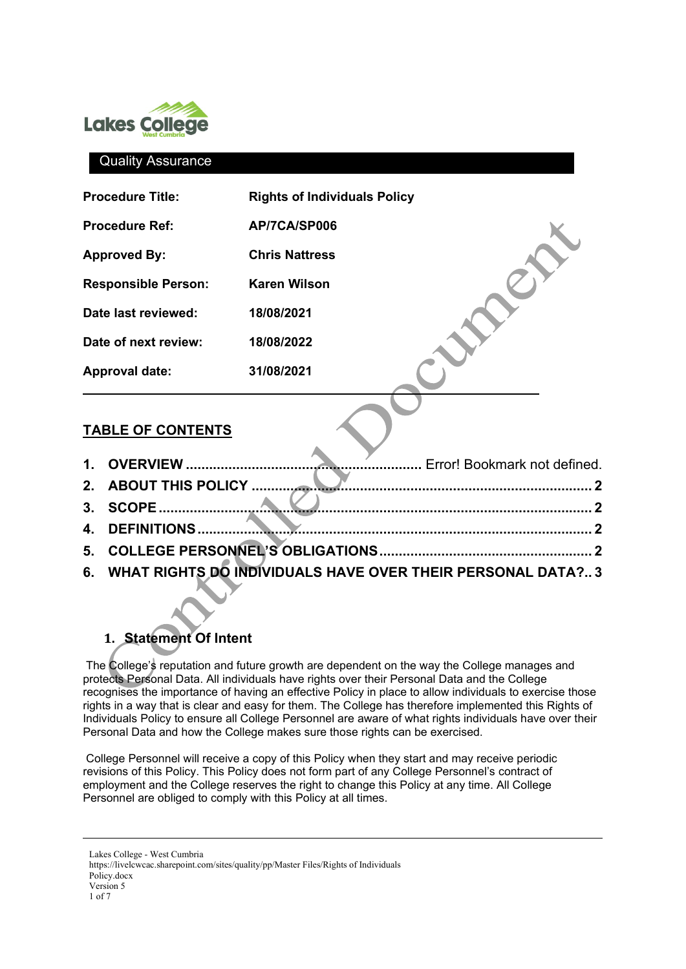

### Quality Assurance

| <b>Procedure Title:</b>    | <b>Rights of Individuals Policy</b> |  |
|----------------------------|-------------------------------------|--|
| <b>Procedure Ref:</b>      | AP/7CA/SP006                        |  |
| <b>Approved By:</b>        | <b>Chris Nattress</b>               |  |
| <b>Responsible Person:</b> | <b>Karen Wilson</b>                 |  |
| Date last reviewed:        | 18/08/2021                          |  |
| Date of next review:       | 18/08/2022                          |  |
| <b>Approval date:</b>      | 31/08/2021                          |  |
|                            |                                     |  |

### **TABLE OF CONTENTS**

- **1. OVERVIEW .............................................................** Error! Bookmark not defined.
- **2. ABOUT THIS POLICY [........................................................................................ 2](#page-1-0)**
- **3. [SCOPE................................................................................................................ 2](#page-1-1)**
- **4. [DEFINITIONS...................................................................................................... 2](#page-1-2)**
- **5. [COLLEGE PERSONNEL'S OBLIGATIONS....................................................... 2](#page-2-0)**
- **6. [WHAT RIGHTS DO INDIVIDUALS HAVE OVER THEIR PERSONAL DATA?.. 3](#page-2-1)**

# **1. Statement Of Intent**

The College's reputation and future growth are dependent on the way the College manages and protects Personal Data. All individuals have rights over their Personal Data and the College recognises the importance of having an effective Policy in place to allow individuals to exercise those rights in a way that is clear and easy for them. The College has therefore implemented this Rights of Individuals Policy to ensure all College Personnel are aware of what rights individuals have over their Personal Data and how the College makes sure those rights can be exercised.

College Personnel will receive a copy of this Policy when they start and may receive periodic revisions of this Policy. This Policy does not form part of any College Personnel's contract of employment and the College reserves the right to change this Policy at any time. All College Personnel are obliged to comply with this Policy at all times.

Lakes College - West Cumbria https://livelcwcac.sharepoint.com/sites/quality/pp/Master Files/Rights of Individuals Policy.docx Version 5 1 of 7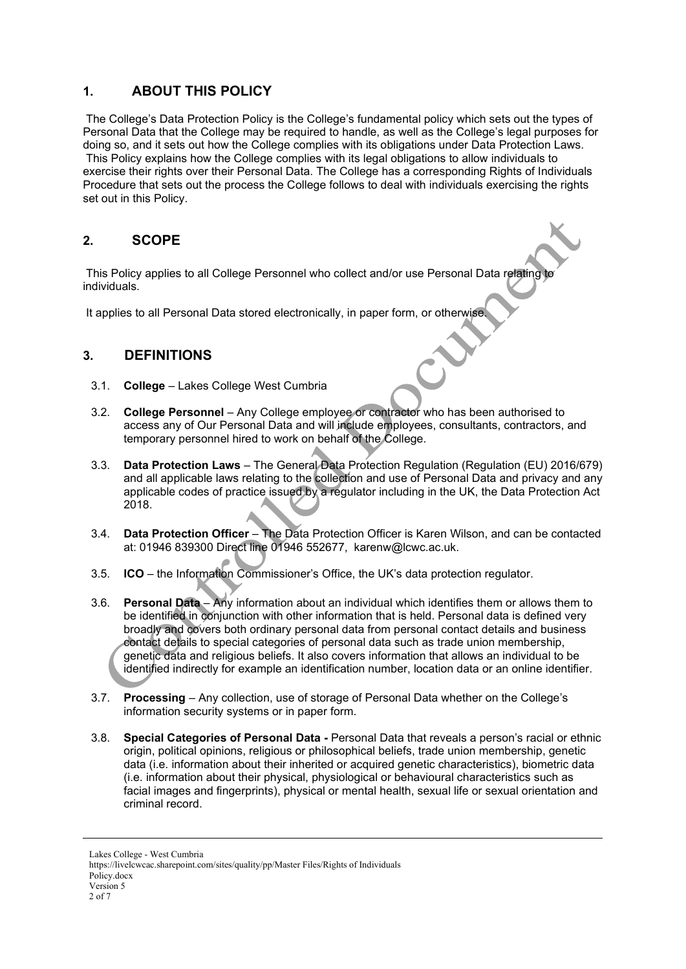# <span id="page-1-0"></span>**1. ABOUT THIS POLICY**

The College's Data Protection Policy is the College's fundamental policy which sets out the types of Personal Data that the College may be required to handle, as well as the College's legal purposes for doing so, and it sets out how the College complies with its obligations under Data Protection Laws. This Policy explains how the College complies with its legal obligations to allow individuals to exercise their rights over their Personal Data. The College has a corresponding Rights of Individuals Procedure that sets out the process the College follows to deal with individuals exercising the rights set out in this Policy.

### <span id="page-1-1"></span>**2. SCOPE**

This Policy applies to all College Personnel who collect and/or use Personal Data relating individuals.

<span id="page-1-2"></span>It applies to all Personal Data stored electronically, in paper form, or otherwise

### **3. DEFINITIONS**

- 3.1. **College** Lakes College West Cumbria
- 3.2. **College Personnel** Any College employee or contractor who has been authorised to access any of Our Personal Data and will include employees, consultants, contractors, and temporary personnel hired to work on behalf of the College.
- 3.3. **Data Protection Laws**  The General Data Protection Regulation (Regulation (EU) 2016/679) and all applicable laws relating to the collection and use of Personal Data and privacy and any applicable codes of practice issued by a regulator including in the UK, the Data Protection Act 2018.
- 3.4. **Data Protection Officer** The Data Protection Officer is Karen Wilson, and can be contacted at: 01946 839300 Direct line 01946 552677, karenw@lcwc.ac.uk.
- 3.5. **ICO** the Information Commissioner's Office, the UK's data protection regulator.
- 3.6. **Personal Data** Any information about an individual which identifies them or allows them to be identified in conjunction with other information that is held. Personal data is defined very broadly and covers both ordinary personal data from personal contact details and business contact details to special categories of personal data such as trade union membership, genetic data and religious beliefs. It also covers information that allows an individual to be identified indirectly for example an identification number, location data or an online identifier.
- 3.7. **Processing** Any collection, use of storage of Personal Data whether on the College's information security systems or in paper form.
- 3.8. **Special Categories of Personal Data -** Personal Data that reveals a person's racial or ethnic origin, political opinions, religious or philosophical beliefs, trade union membership, genetic data (i.e. information about their inherited or acquired genetic characteristics), biometric data (i.e. information about their physical, physiological or behavioural characteristics such as facial images and fingerprints), physical or mental health, sexual life or sexual orientation and criminal record.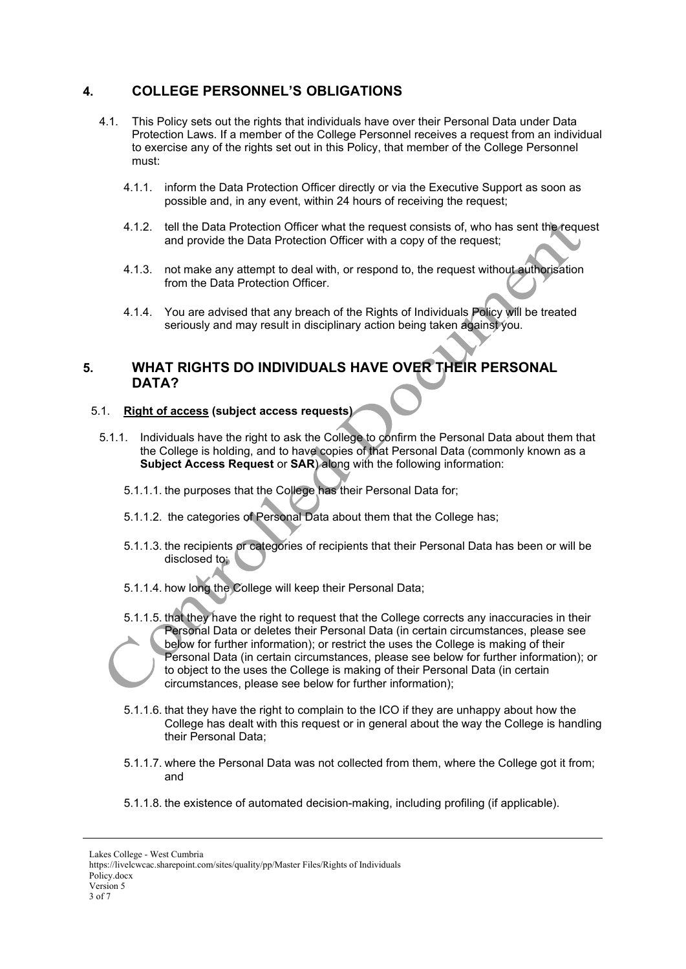# <span id="page-2-0"></span>**4. COLLEGE PERSONNEL'S OBLIGATIONS**

- 4.1. This Policy sets out the rights that individuals have over their Personal Data under Data Protection Laws. If a member of the College Personnel receives a request from an individual to exercise any of the rights set out in this Policy, that member of the College Personnel must:
	- 4.1.1. inform the Data Protection Officer directly or via the Executive Support as soon as possible and, in any event, within 24 hours of receiving the request;
	- 4.1.2. tell the Data Protection Officer what the request consists of, who has sent the request and provide the Data Protection Officer with a copy of the request;
	- 4.1.3. not make any attempt to deal with, or respond to, the request without authorisation from the Data Protection Officer.
	- 4.1.4. You are advised that any breach of the Rights of Individuals Policy will be treated seriously and may result in disciplinary action being taken against you.

### <span id="page-2-1"></span>**5. WHAT RIGHTS DO INDIVIDUALS HAVE OVER THEIR PERSONAL DATA?**

### 5.1. **Right of access (subject access requests)**

- 5.1.1. Individuals have the right to ask the College to confirm the Personal Data about them that the College is holding, and to have copies of that Personal Data (commonly known as a **Subject Access Request** or **SAR**) along with the following information:
	- 5.1.1.1. the purposes that the College has their Personal Data for;
	- 5.1.1.2. the categories of Personal Data about them that the College has;
	- 5.1.1.3. the recipients or categories of recipients that their Personal Data has been or will be disclosed to;
	- 5.1.1.4. how long the College will keep their Personal Data;
	- 5.1.1.5. that they have the right to request that the College corrects any inaccuracies in their Personal Data or deletes their Personal Data (in certain circumstances, please see below for further information); or restrict the uses the College is making of their Personal Data (in certain circumstances, please see below for further information); or to object to the uses the College is making of their Personal Data (in certain circumstances, please see below for further information);
	- 5.1.1.6. that they have the right to complain to the ICO if they are unhappy about how the College has dealt with this request or in general about the way the College is handling their Personal Data;
	- 5.1.1.7. where the Personal Data was not collected from them, where the College got it from; and
	- 5.1.1.8. the existence of automated decision-making, including profiling (if applicable).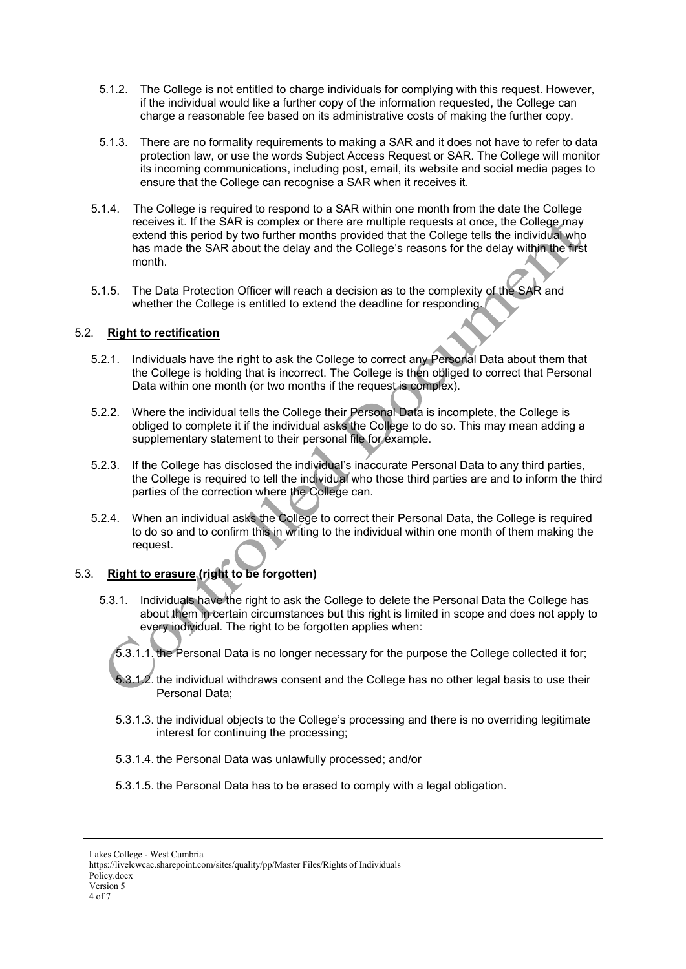- 5.1.2. The College is not entitled to charge individuals for complying with this request. However, if the individual would like a further copy of the information requested, the College can charge a reasonable fee based on its administrative costs of making the further copy.
- 5.1.3. There are no formality requirements to making a SAR and it does not have to refer to data protection law, or use the words Subject Access Request or SAR. The College will monitor its incoming communications, including post, email, its website and social media pages to ensure that the College can recognise a SAR when it receives it.
- 5.1.4. The College is required to respond to a SAR within one month from the date the College receives it. If the SAR is complex or there are multiple requests at once, the College may extend this period by two further months provided that the College tells the individual who has made the SAR about the delay and the College's reasons for the delay within the first month.
- 5.1.5. The Data Protection Officer will reach a decision as to the complexity of the SAR and whether the College is entitled to extend the deadline for responding.

#### 5.2. **Right to rectification**

- 5.2.1. Individuals have the right to ask the College to correct any Personal Data about them that the College is holding that is incorrect. The College is then obliged to correct that Personal Data within one month (or two months if the request is complex).
- 5.2.2. Where the individual tells the College their Personal Data is incomplete, the College is obliged to complete it if the individual asks the College to do so. This may mean adding a supplementary statement to their personal file for example.
- 5.2.3. If the College has disclosed the individual's inaccurate Personal Data to any third parties, the College is required to tell the individual who those third parties are and to inform the third parties of the correction where the College can.
- 5.2.4. When an individual asks the College to correct their Personal Data, the College is required to do so and to confirm this in writing to the individual within one month of them making the request.

# 5.3. **Right to erasure (right to be forgotten)**

- 5.3.1. Individuals have the right to ask the College to delete the Personal Data the College has about them in certain circumstances but this right is limited in scope and does not apply to every individual. The right to be forgotten applies when:
	- 5.3.1.1. the Personal Data is no longer necessary for the purpose the College collected it for;
	- 5.3.1.2. the individual withdraws consent and the College has no other legal basis to use their Personal Data;
	- 5.3.1.3. the individual objects to the College's processing and there is no overriding legitimate interest for continuing the processing;
	- 5.3.1.4. the Personal Data was unlawfully processed; and/or
	- 5.3.1.5. the Personal Data has to be erased to comply with a legal obligation.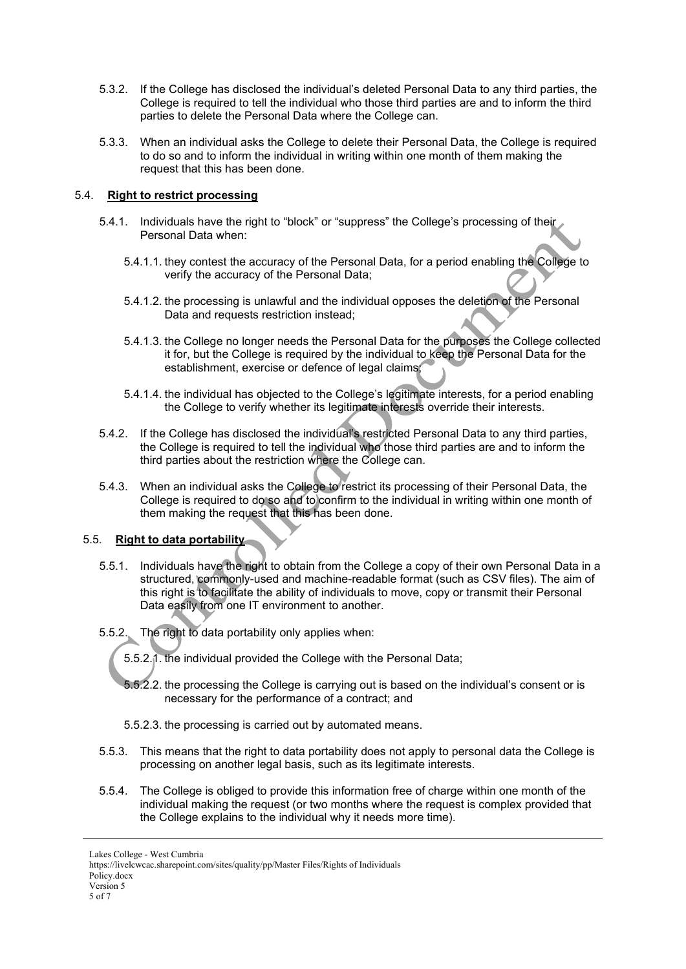- 5.3.2. If the College has disclosed the individual's deleted Personal Data to any third parties, the College is required to tell the individual who those third parties are and to inform the third parties to delete the Personal Data where the College can.
- 5.3.3. When an individual asks the College to delete their Personal Data, the College is required to do so and to inform the individual in writing within one month of them making the request that this has been done.

### 5.4. **Right to restrict processing**

- 5.4.1. Individuals have the right to "block" or "suppress" the College's processing of their Personal Data when:
	- 5.4.1.1. they contest the accuracy of the Personal Data, for a period enabling the College to verify the accuracy of the Personal Data;
	- 5.4.1.2. the processing is unlawful and the individual opposes the deletion of the Personal Data and requests restriction instead:
	- 5.4.1.3. the College no longer needs the Personal Data for the purposes the College collected it for, but the College is required by the individual to keep the Personal Data for the establishment, exercise or defence of legal claims;
	- 5.4.1.4. the individual has objected to the College's legitimate interests, for a period enabling the College to verify whether its legitimate interests override their interests.
- 5.4.2. If the College has disclosed the individual's restricted Personal Data to any third parties, the College is required to tell the individual who those third parties are and to inform the third parties about the restriction where the College can.
- 5.4.3. When an individual asks the College to restrict its processing of their Personal Data, the College is required to do so and to confirm to the individual in writing within one month of them making the request that this has been done.

#### 5.5. **Right to data portability**

- 5.5.1. Individuals have the right to obtain from the College a copy of their own Personal Data in a structured, commonly-used and machine-readable format (such as CSV files). The aim of this right is to facilitate the ability of individuals to move, copy or transmit their Personal Data easily from one IT environment to another.
- 5.5.2. The right to data portability only applies when:
	- 5.5.2.1. the individual provided the College with the Personal Data;
	- 5.5.2.2. the processing the College is carrying out is based on the individual's consent or is necessary for the performance of a contract; and
	- 5.5.2.3. the processing is carried out by automated means.
- 5.5.3. This means that the right to data portability does not apply to personal data the College is processing on another legal basis, such as its legitimate interests.
- 5.5.4. The College is obliged to provide this information free of charge within one month of the individual making the request (or two months where the request is complex provided that the College explains to the individual why it needs more time).

Lakes College - West Cumbria

https://livelcwcac.sharepoint.com/sites/quality/pp/Master Files/Rights of Individuals

Policy.docx Version 5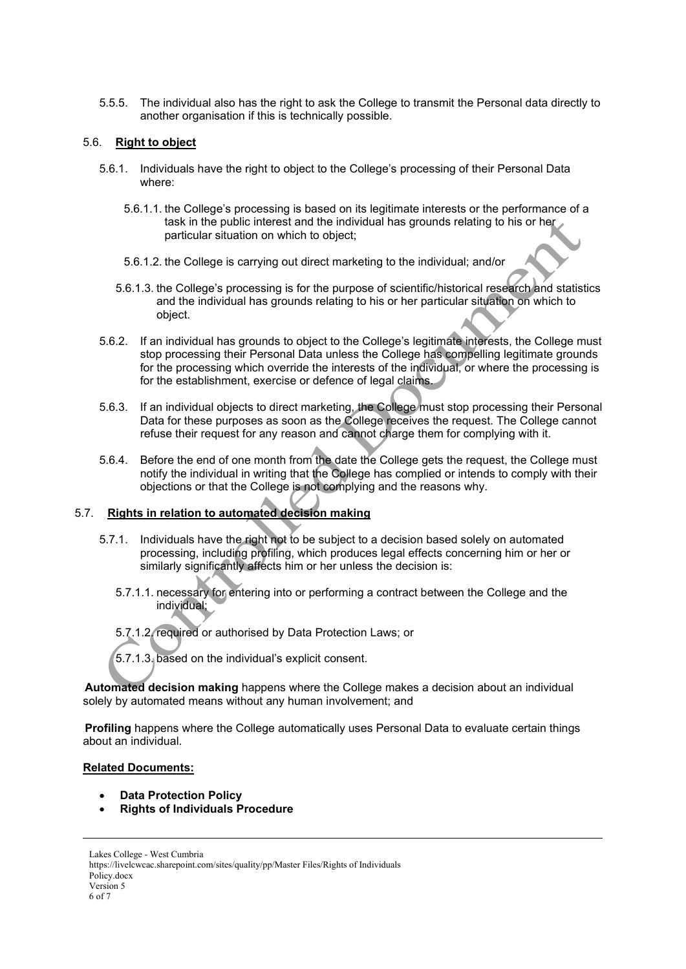5.5.5. The individual also has the right to ask the College to transmit the Personal data directly to another organisation if this is technically possible.

#### 5.6. **Right to object**

- 5.6.1. Individuals have the right to object to the College's processing of their Personal Data where:
	- 5.6.1.1. the College's processing is based on its legitimate interests or the performance of a task in the public interest and the individual has grounds relating to his or her particular situation on which to object;
	- 5.6.1.2. the College is carrying out direct marketing to the individual; and/or
	- 5.6.1.3. the College's processing is for the purpose of scientific/historical research and statistics and the individual has grounds relating to his or her particular situation on which to object.
- 5.6.2. If an individual has grounds to object to the College's legitimate interests, the College must stop processing their Personal Data unless the College has compelling legitimate grounds for the processing which override the interests of the individual, or where the processing is for the establishment, exercise or defence of legal claims.
- 5.6.3. If an individual objects to direct marketing, the College must stop processing their Personal Data for these purposes as soon as the College receives the request. The College cannot refuse their request for any reason and cannot charge them for complying with it.
- 5.6.4. Before the end of one month from the date the College gets the request, the College must notify the individual in writing that the College has complied or intends to comply with their objections or that the College is not complying and the reasons why.

### 5.7. **Rights in relation to automated decision making**

- 5.7.1. Individuals have the right not to be subject to a decision based solely on automated processing, including profiling, which produces legal effects concerning him or her or similarly significantly affects him or her unless the decision is:
	- 5.7.1.1. necessary for entering into or performing a contract between the College and the individual;
	- 5.7.1.2. required or authorised by Data Protection Laws; or
	- 5.7.1.3. based on the individual's explicit consent.

**Automated decision making** happens where the College makes a decision about an individual solely by automated means without any human involvement; and

**Profiling** happens where the College automatically uses Personal Data to evaluate certain things about an individual.

#### **Related Documents:**

- **Data Protection Policy**
- **Rights of Individuals Procedure**